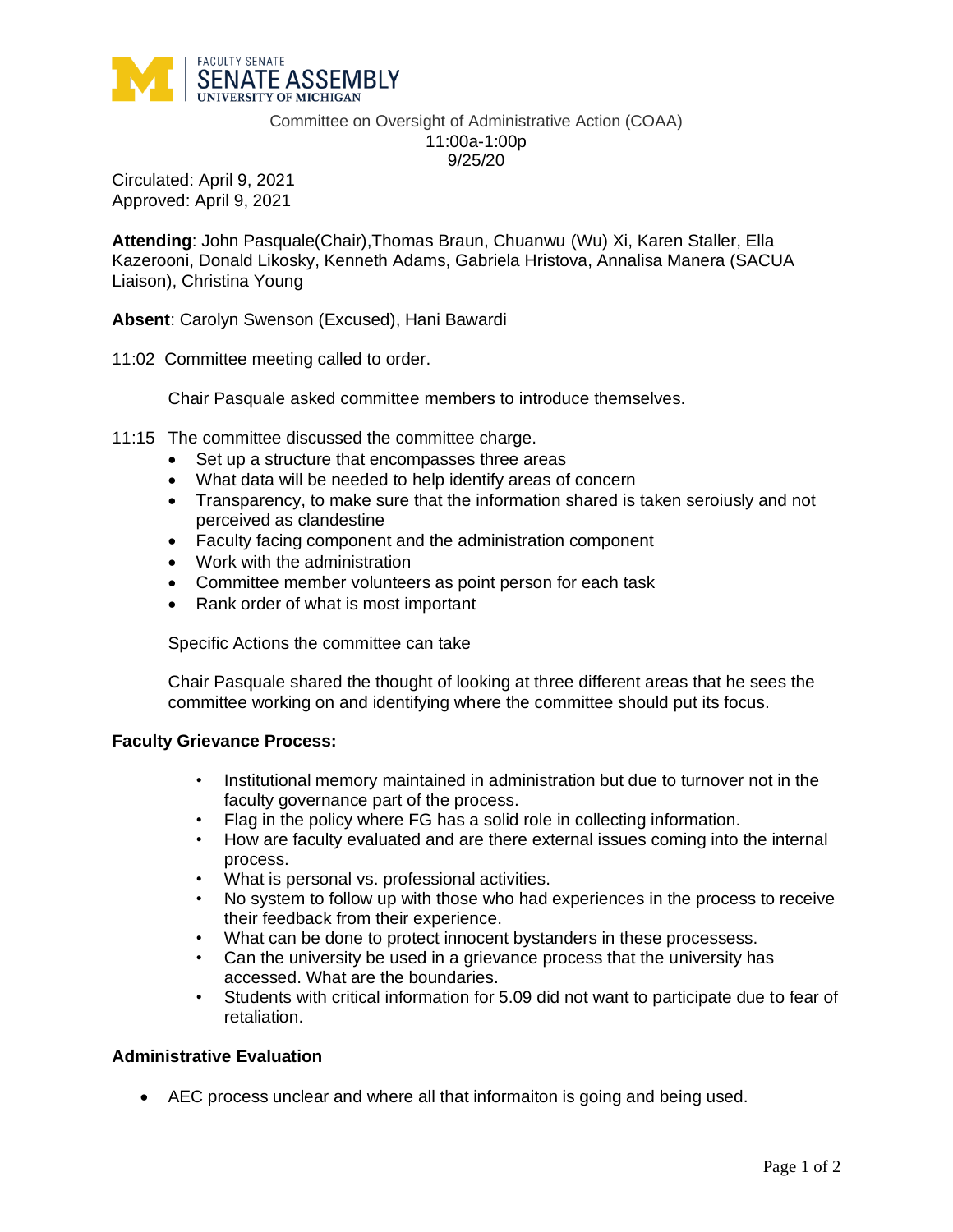

Committee on Oversight of Administrative Action (COAA) 11:00a-1:00p 9/25/20

Circulated: April 9, 2021 Approved: April 9, 2021

**Attending**: John Pasquale(Chair),Thomas Braun, Chuanwu (Wu) Xi, Karen Staller, Ella Kazerooni, Donald Likosky, Kenneth Adams, Gabriela Hristova, Annalisa Manera (SACUA Liaison), Christina Young

**Absent**: Carolyn Swenson (Excused), Hani Bawardi

11:02 Committee meeting called to order.

Chair Pasquale asked committee members to introduce themselves.

- 11:15 The committee discussed the committee charge.
	- Set up a structure that encompasses three areas
	- What data will be needed to help identify areas of concern
	- Transparency, to make sure that the information shared is taken seroiusly and not perceived as clandestine
	- Faculty facing component and the administration component
	- Work with the administration
	- Committee member volunteers as point person for each task
	- Rank order of what is most important

Specific Actions the committee can take

Chair Pasquale shared the thought of looking at three different areas that he sees the committee working on and identifying where the committee should put its focus.

## **Faculty Grievance Process:**

- Institutional memory maintained in administration but due to turnover not in the faculty governance part of the process.
- Flag in the policy where FG has a solid role in collecting information.
- How are faculty evaluated and are there external issues coming into the internal process.
- What is personal vs. professional activities.
- No system to follow up with those who had experiences in the process to receive their feedback from their experience.
- What can be done to protect innocent bystanders in these processess.
- Can the university be used in a grievance process that the university has accessed. What are the boundaries.
- Students with critical information for 5.09 did not want to participate due to fear of retaliation.

## **Administrative Evaluation**

• AEC process unclear and where all that informaiton is going and being used.